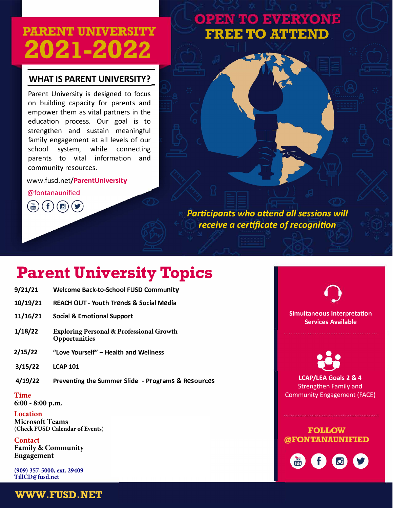# **PARENT UNIVERSITY -1-2**

### **WHAT IS PARENT UNIVERSITY?**

Parent University is designed to focus on building capacity for parents and empower them as vital partners in the education process. Our goal is to strengthen and sustain meaningful family engagement at all levels of our school system, while connecting parents to vital information and community resources.

### www.fusd.net/ParentUniversity

@fontanaunified

Participants who attend all sessions will receive a certificate of recognition

**FREE TO ATTEND** 

**OPEN TO EVERYONE** 

## **Parent University Topics**

- **J Welcome Back-to-School FUSD Community**
- **10/19/21 REACH OUT - Youth Trends & Social Media**
- **11/16/21 Social & Emotional Support**
- **[Exploring Personal & Professional Growth](https://teams.microsoft.com/l/meetup-join/19%3ameeting_ZmZiNzNmZDUtZGE4Yi00MTBhLWE1ODktZmIxYWM0MDFjZDcw%40thread.v2/0?context=%7b%22Tid%22%3a%22eac0dc96-0fac-4056-85bc-336c3c9b5003%22%2c%22Oid%22%3a%2257fc8878-f68e-4c57-a2d3-c1d84b73edbf%22%7d)  Opportunities J**
- **J** "Love Yourself" – Health and Wellness
- **J LCAP 101**
- **J Preventing the Summer Slide - Programs & Resources**

**Time** 

**6:00 - 8:00 p.m.**

### **Location**

**Microsoft Teams (Check FUSD Calendar of Events)**

### **Contact**

**Family & Community Engagement**

**(909) 357-5000, ext. 29409 TillCD@fusd.net**

**Simultaneous Interpretation Services Available** 

**LCAP/LEA Goals 2 & 4 Strengthen Family and** Community Engagement (FACE)

### **FOLLOW** @FONTANAUNIFIED



**WWW.FUSD.NET**